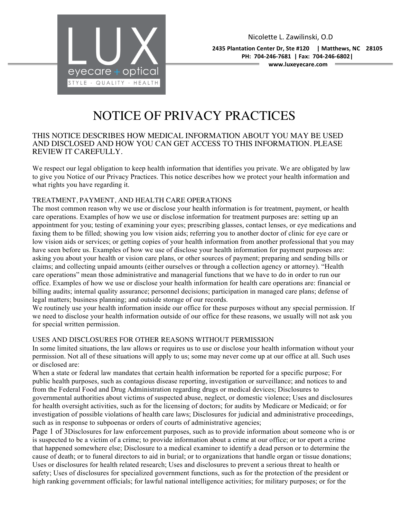

2435 Plantation Center Dr, Ste #120 | Matthews, NC 28105 PH: 704-246-7681 | Fax: 704-246-6802|

**www.luxeyecare.com**

# NOTICE OF PRIVACY PRACTICES

# THIS NOTICE DESCRIBES HOW MEDICAL INFORMATION ABOUT YOU MAY BE USED AND DISCLOSED AND HOW YOU CAN GET ACCESS TO THIS INFORMATION. PLEASE REVIEW IT CAREFULLY.

We respect our legal obligation to keep health information that identifies you private. We are obligated by law to give you Notice of our Privacy Practices. This notice describes how we protect your health information and what rights you have regarding it.

# TREATMENT, PAYMENT, AND HEALTH CARE OPERATIONS

The most common reason why we use or disclose your health information is for treatment, payment, or health care operations. Examples of how we use or disclose information for treatment purposes are: setting up an appointment for you; testing of examining your eyes; prescribing glasses, contact lenses, or eye medications and faxing them to be filled; showing you low vision aids; referring you to another doctor of clinic for eye care or low vision aids or services; or getting copies of your health information from another professional that you may have seen before us. Examples of how we use of disclose your health information for payment purposes are: asking you about your health or vision care plans, or other sources of payment; preparing and sending bills or claims; and collecting unpaid amounts (either ourselves or through a collection agency or attorney). "Health care operations" mean those administrative and managerial functions that we have to do in order to run our office. Examples of how we use or disclose your health information for health care operations are: financial or billing audits; internal quality assurance; personnel decisions; participation in managed care plans; defense of legal matters; business planning; and outside storage of our records.

We routinely use your health information inside our office for these purposes without any special permission. If we need to disclose your health information outside of our office for these reasons, we usually will not ask you for special written permission.

# USES AND DISCLOSURES FOR OTHER REASONS WITHOUT PERMISSION

In some limited situations, the law allows or requires us to use or disclose your health information without your permission. Not all of these situations will apply to us; some may never come up at our office at all. Such uses or disclosed are:

When a state or federal law mandates that certain health information be reported for a specific purpose; For public health purposes, such as contagious disease reporting, investigation or surveillance; and notices to and from the Federal Food and Drug Administration regarding drugs or medical devices; Disclosures to governmental authorities about victims of suspected abuse, neglect, or domestic violence; Uses and disclosures for health oversight activities, such as for the licensing of doctors; for audits by Medicare or Medicaid; or for investigation of possible violations of health care laws; Disclosures for judicial and administrative proceedings, such as in response to subpoenas or orders of courts of administrative agencies;

Page 1 of 3Disclosures for law enforcement purposes, such as to provide information about someone who is or is suspected to be a victim of a crime; to provide information about a crime at our office; or tor eport a crime that happened somewhere else; Disclosure to a medical examiner to identify a dead person or to determine the cause of death; or to funeral directors to aid in burial; or to organizations that handle organ or tissue donations; Uses or disclosures for health related research; Uses and disclosures to prevent a serious threat to health or safety; Uses of disclosures for specialized government functions, such as for the protection of the president or high ranking government officials; for lawful national intelligence activities; for military purposes; or for the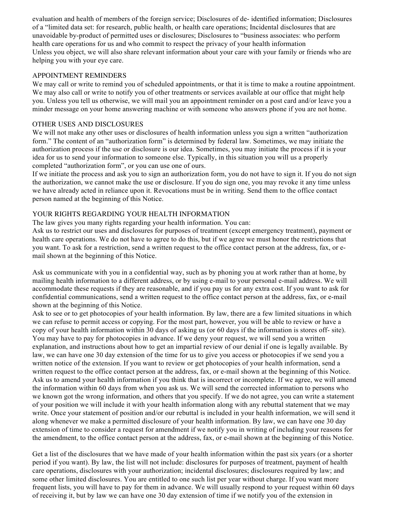evaluation and health of members of the foreign service; Disclosures of de- identified information; Disclosures of a "limited data set: for research, public health, or health care operations; Incidental disclosures that are unavoidable by-product of permitted uses or disclosures; Disclosures to "business associates: who perform health care operations for us and who commit to respect the privacy of your health information Unless you object, we will also share relevant information about your care with your family or friends who are helping you with your eye care.

## APPOINTMENT REMINDERS

We may call or write to remind you of scheduled appointments, or that it is time to make a routine appointment. We may also call or write to notify you of other treatments or services available at our office that might help you. Unless you tell us otherwise, we will mail you an appointment reminder on a post card and/or leave you a minder message on your home answering machine or with someone who answers phone if you are not home.

## OTHER USES AND DISCLOSURES

We will not make any other uses or disclosures of health information unless you sign a written "authorization" form." The content of an "authorization form" is determined by federal law. Sometimes, we may initiate the authorization process if the use or disclosure is our idea. Sometimes, you may initiate the process if it is your idea for us to send your information to someone else. Typically, in this situation you will us a properly completed "authorization form", or you can use one of ours.

If we initiate the process and ask you to sign an authorization form, you do not have to sign it. If you do not sign the authorization, we cannot make the use or disclosure. If you do sign one, you may revoke it any time unless we have already acted in reliance upon it. Revocations must be in writing. Send them to the office contact person named at the beginning of this Notice.

## YOUR RIGHTS REGARDING YOUR HEALTH INFORMATION

The law gives you many rights regarding your health information. You can:

Ask us to restrict our uses and disclosures for purposes of treatment (except emergency treatment), payment or health care operations. We do not have to agree to do this, but if we agree we must honor the restrictions that you want. To ask for a restriction, send a written request to the office contact person at the address, fax, or email shown at the beginning of this Notice.

Ask us communicate with you in a confidential way, such as by phoning you at work rather than at home, by mailing health information to a different address, or by using e-mail to your personal e-mail address. We will accommodate these requests if they are reasonable, and if you pay us for any extra cost. If you want to ask for confidential communications, send a written request to the office contact person at the address, fax, or e-mail shown at the beginning of this Notice.

Ask to see or to get photocopies of your health information. By law, there are a few limited situations in which we can refuse to permit access or copying. For the most part, however, you will be able to review or have a copy of your health information within 30 days of asking us (or 60 days if the information is stores off- site). You may have to pay for photocopies in advance. If we deny your request, we will send you a written explanation, and instructions about how to get an impartial review of our denial if one is legally available. By law, we can have one 30 day extension of the time for us to give you access or photocopies if we send you a written notice of the extension. If you want to review or get photocopies of your health information, send a written request to the office contact person at the address, fax, or e-mail shown at the beginning of this Notice. Ask us to amend your health information if you think that is incorrect or incomplete. If we agree, we will amend the information within 60 days from when you ask us. We will send the corrected information to persons who we known got the wrong information, and others that you specify. If we do not agree, you can write a statement of your position we will include it with your health information along with any rebuttal statement that we may write. Once your statement of position and/or our rebuttal is included in your health information, we will send it along whenever we make a permitted disclosure of your health information. By law, we can have one 30 day extension of time to consider a request for amendment if we notify you in writing of including your reasons for the amendment, to the office contact person at the address, fax, or e-mail shown at the beginning of this Notice.

Get a list of the disclosures that we have made of your health information within the past six years (or a shorter period if you want). By law, the list will not include: disclosures for purposes of treatment, payment of health care operations, disclosures with your authorization; incidental disclosures; disclosures required by law; and some other limited disclosures. You are entitled to one such list per year without charge. If you want more frequent lists, you will have to pay for them in advance. We will usually respond to your request within 60 days of receiving it, but by law we can have one 30 day extension of time if we notify you of the extension in